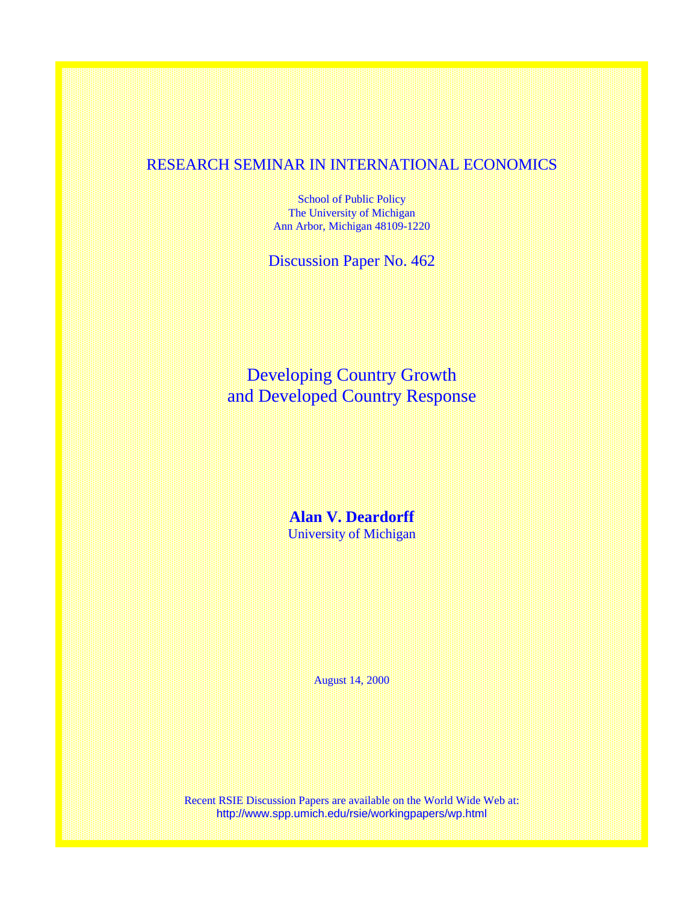## RESEARCH SEMINAR IN INTERNATIONAL ECONOMICS

School of Public Policy The University of Michigan Ann Arbor, Michigan 48109-1220

Discussion Paper No. 462

Developing Country Growth and Developed Country Response

> **Alan V. Deardorff**  University of Michigan

> > August 14, 2000

Recent RSIE Discussion Papers are available on the World Wide Web at: http://www.spp.umich.edu/rsie/workingpapers/wp.html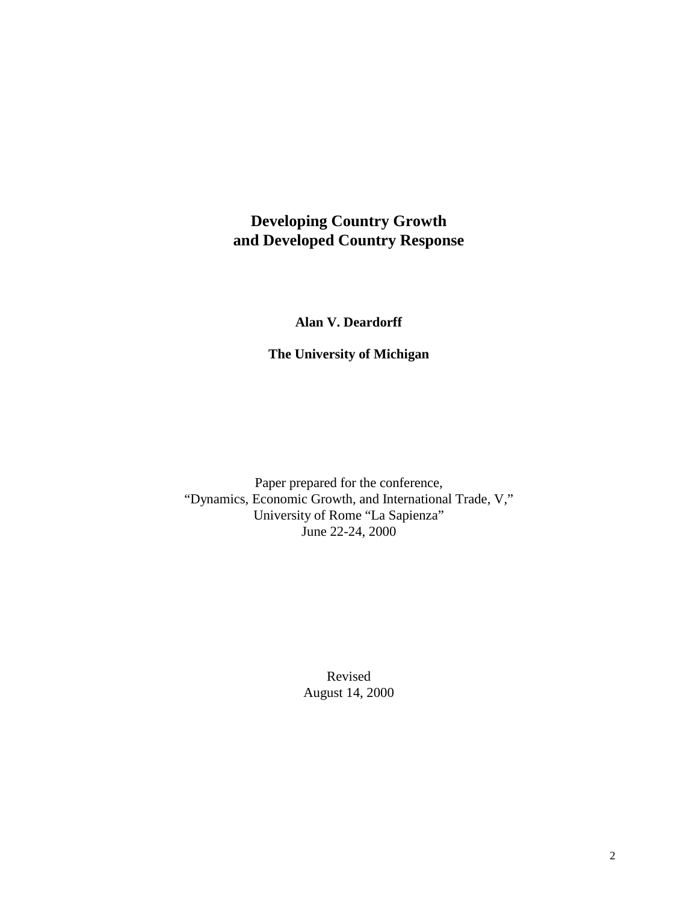# **Developing Country Growth and Developed Country Response**

## **Alan V. Deardorff**

**The University of Michigan** 

Paper prepared for the conference, "Dynamics, Economic Growth, and International Trade, V," University of Rome "La Sapienza" June 22-24, 2000

> Revised August 14, 2000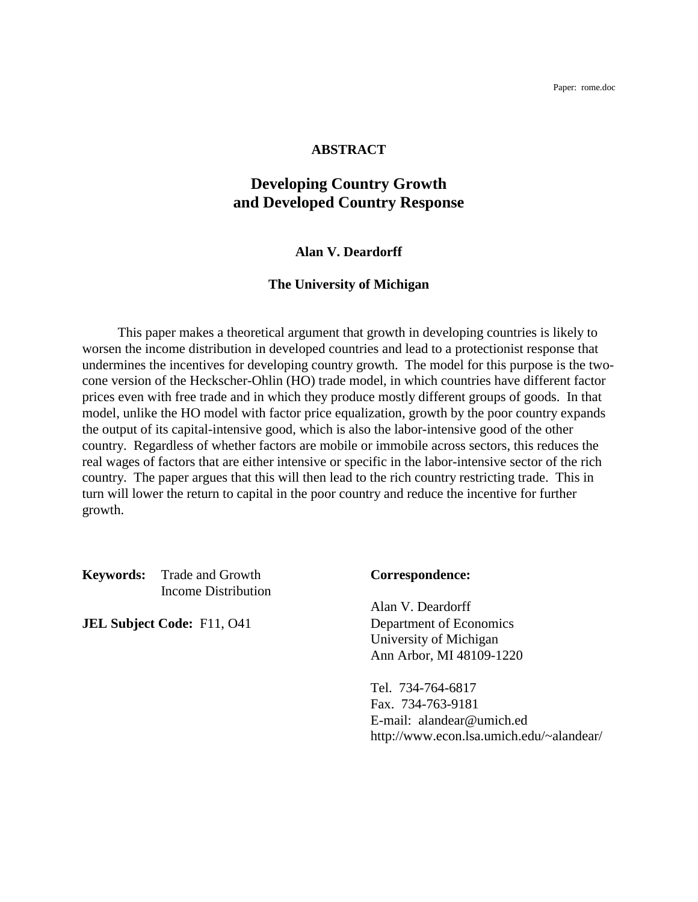Paper: rome.doc

## **ABSTRACT**

## **Developing Country Growth and Developed Country Response**

## **Alan V. Deardorff**

## **The University of Michigan**

 This paper makes a theoretical argument that growth in developing countries is likely to worsen the income distribution in developed countries and lead to a protectionist response that undermines the incentives for developing country growth. The model for this purpose is the twocone version of the Heckscher-Ohlin (HO) trade model, in which countries have different factor prices even with free trade and in which they produce mostly different groups of goods. In that model, unlike the HO model with factor price equalization, growth by the poor country expands the output of its capital-intensive good, which is also the labor-intensive good of the other country. Regardless of whether factors are mobile or immobile across sectors, this reduces the real wages of factors that are either intensive or specific in the labor-intensive sector of the rich country. The paper argues that this will then lead to the rich country restricting trade. This in turn will lower the return to capital in the poor country and reduce the incentive for further growth.

**Keywords:** Trade and Growth **Correspondence:** Income Distribution

**JEL Subject Code:** F11, O41 Department of Economics

 Alan V. Deardorff University of Michigan Ann Arbor, MI 48109-1220

 Tel. 734-764-6817 Fax. 734-763-9181 E-mail: alandear@umich.ed http://www.econ.lsa.umich.edu/~alandear/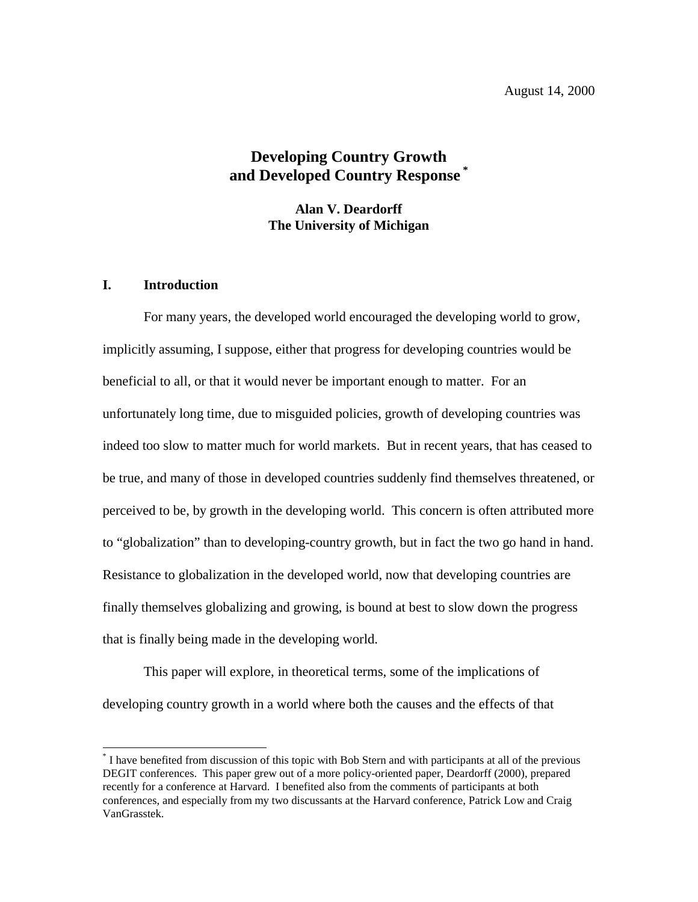August 14, 2000

## **Developing Country Growth and Developed Country Response \***

**Alan V. Deardorff The University of Michigan** 

## **I. Introduction**

 $\overline{a}$ 

For many years, the developed world encouraged the developing world to grow, implicitly assuming, I suppose, either that progress for developing countries would be beneficial to all, or that it would never be important enough to matter. For an unfortunately long time, due to misguided policies, growth of developing countries was indeed too slow to matter much for world markets. But in recent years, that has ceased to be true, and many of those in developed countries suddenly find themselves threatened, or perceived to be, by growth in the developing world. This concern is often attributed more to "globalization" than to developing-country growth, but in fact the two go hand in hand. Resistance to globalization in the developed world, now that developing countries are finally themselves globalizing and growing, is bound at best to slow down the progress that is finally being made in the developing world.

This paper will explore, in theoretical terms, some of the implications of developing country growth in a world where both the causes and the effects of that

<sup>\*</sup> I have benefited from discussion of this topic with Bob Stern and with participants at all of the previous DEGIT conferences. This paper grew out of a more policy-oriented paper, Deardorff (2000), prepared recently for a conference at Harvard. I benefited also from the comments of participants at both conferences, and especially from my two discussants at the Harvard conference, Patrick Low and Craig VanGrasstek.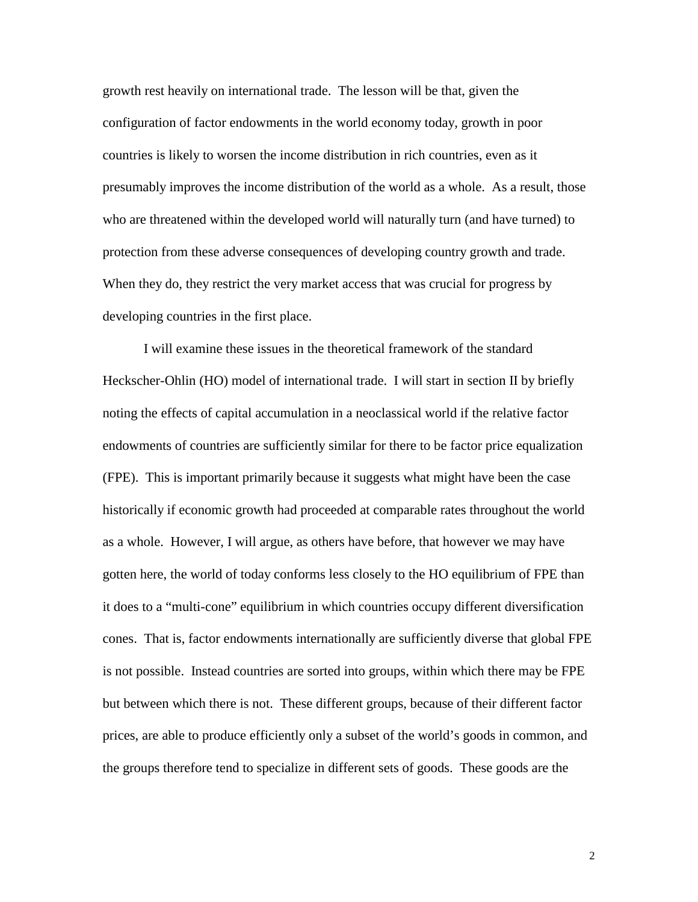growth rest heavily on international trade. The lesson will be that, given the configuration of factor endowments in the world economy today, growth in poor countries is likely to worsen the income distribution in rich countries, even as it presumably improves the income distribution of the world as a whole. As a result, those who are threatened within the developed world will naturally turn (and have turned) to protection from these adverse consequences of developing country growth and trade. When they do, they restrict the very market access that was crucial for progress by developing countries in the first place.

I will examine these issues in the theoretical framework of the standard Heckscher-Ohlin (HO) model of international trade. I will start in section II by briefly noting the effects of capital accumulation in a neoclassical world if the relative factor endowments of countries are sufficiently similar for there to be factor price equalization (FPE). This is important primarily because it suggests what might have been the case historically if economic growth had proceeded at comparable rates throughout the world as a whole. However, I will argue, as others have before, that however we may have gotten here, the world of today conforms less closely to the HO equilibrium of FPE than it does to a "multi-cone" equilibrium in which countries occupy different diversification cones. That is, factor endowments internationally are sufficiently diverse that global FPE is not possible. Instead countries are sorted into groups, within which there may be FPE but between which there is not. These different groups, because of their different factor prices, are able to produce efficiently only a subset of the world's goods in common, and the groups therefore tend to specialize in different sets of goods. These goods are the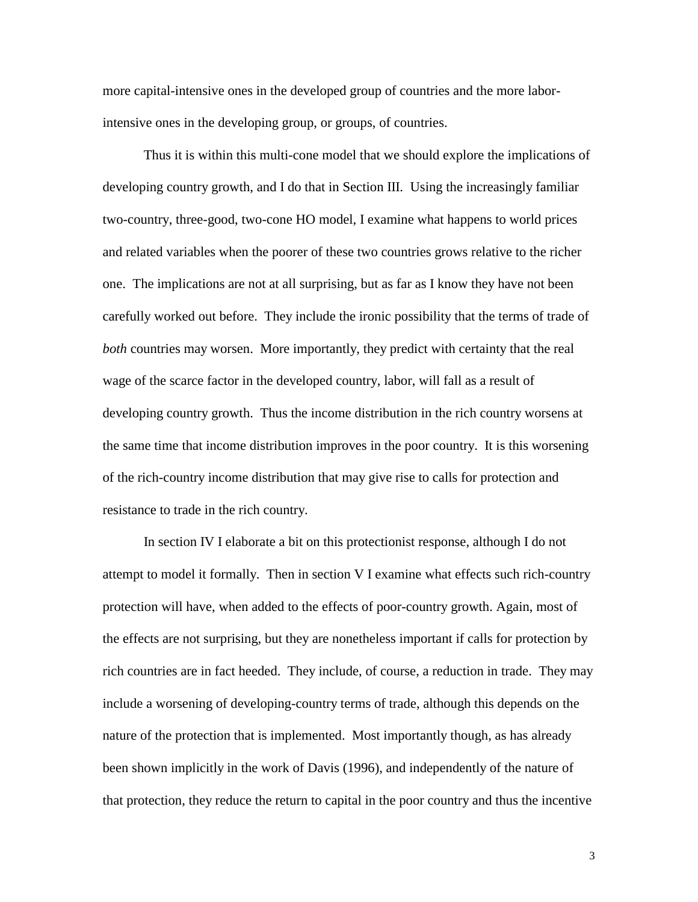more capital-intensive ones in the developed group of countries and the more laborintensive ones in the developing group, or groups, of countries.

Thus it is within this multi-cone model that we should explore the implications of developing country growth, and I do that in Section III. Using the increasingly familiar two-country, three-good, two-cone HO model, I examine what happens to world prices and related variables when the poorer of these two countries grows relative to the richer one. The implications are not at all surprising, but as far as I know they have not been carefully worked out before. They include the ironic possibility that the terms of trade of *both* countries may worsen. More importantly, they predict with certainty that the real wage of the scarce factor in the developed country, labor, will fall as a result of developing country growth. Thus the income distribution in the rich country worsens at the same time that income distribution improves in the poor country. It is this worsening of the rich-country income distribution that may give rise to calls for protection and resistance to trade in the rich country.

In section IV I elaborate a bit on this protectionist response, although I do not attempt to model it formally. Then in section V I examine what effects such rich-country protection will have, when added to the effects of poor-country growth. Again, most of the effects are not surprising, but they are nonetheless important if calls for protection by rich countries are in fact heeded. They include, of course, a reduction in trade. They may include a worsening of developing-country terms of trade, although this depends on the nature of the protection that is implemented. Most importantly though, as has already been shown implicitly in the work of Davis (1996), and independently of the nature of that protection, they reduce the return to capital in the poor country and thus the incentive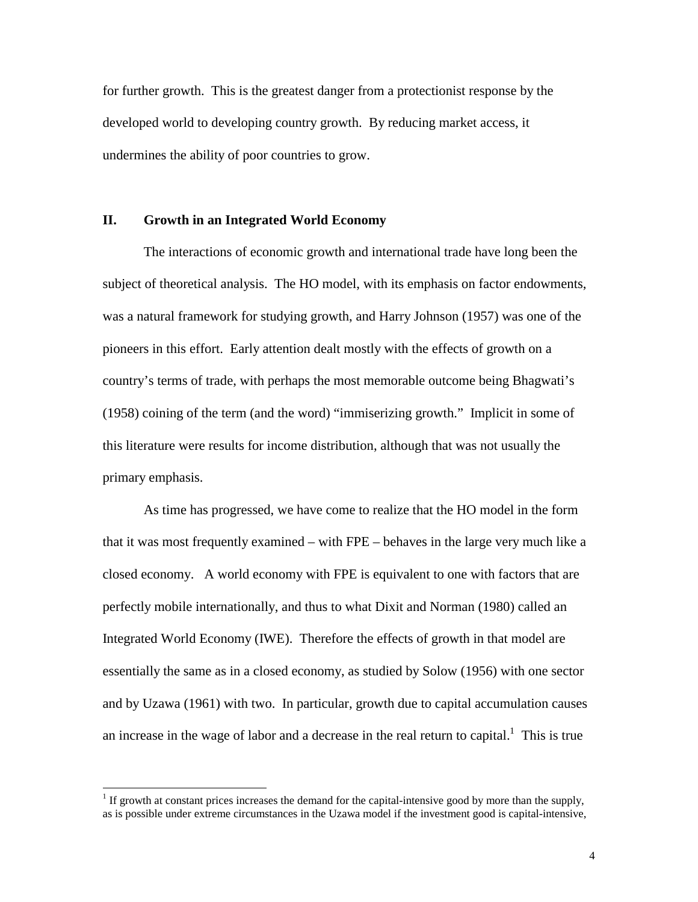for further growth. This is the greatest danger from a protectionist response by the developed world to developing country growth. By reducing market access, it undermines the ability of poor countries to grow.

## **II. Growth in an Integrated World Economy**

The interactions of economic growth and international trade have long been the subject of theoretical analysis. The HO model, with its emphasis on factor endowments, was a natural framework for studying growth, and Harry Johnson (1957) was one of the pioneers in this effort. Early attention dealt mostly with the effects of growth on a country's terms of trade, with perhaps the most memorable outcome being Bhagwati's (1958) coining of the term (and the word) "immiserizing growth." Implicit in some of this literature were results for income distribution, although that was not usually the primary emphasis.

As time has progressed, we have come to realize that the HO model in the form that it was most frequently examined – with FPE – behaves in the large very much like a closed economy. A world economy with FPE is equivalent to one with factors that are perfectly mobile internationally, and thus to what Dixit and Norman (1980) called an Integrated World Economy (IWE). Therefore the effects of growth in that model are essentially the same as in a closed economy, as studied by Solow (1956) with one sector and by Uzawa (1961) with two. In particular, growth due to capital accumulation causes an increase in the wage of labor and a decrease in the real return to capital.<sup>1</sup> This is true

 $<sup>1</sup>$  If growth at constant prices increases the demand for the capital-intensive good by more than the supply,</sup> as is possible under extreme circumstances in the Uzawa model if the investment good is capital-intensive,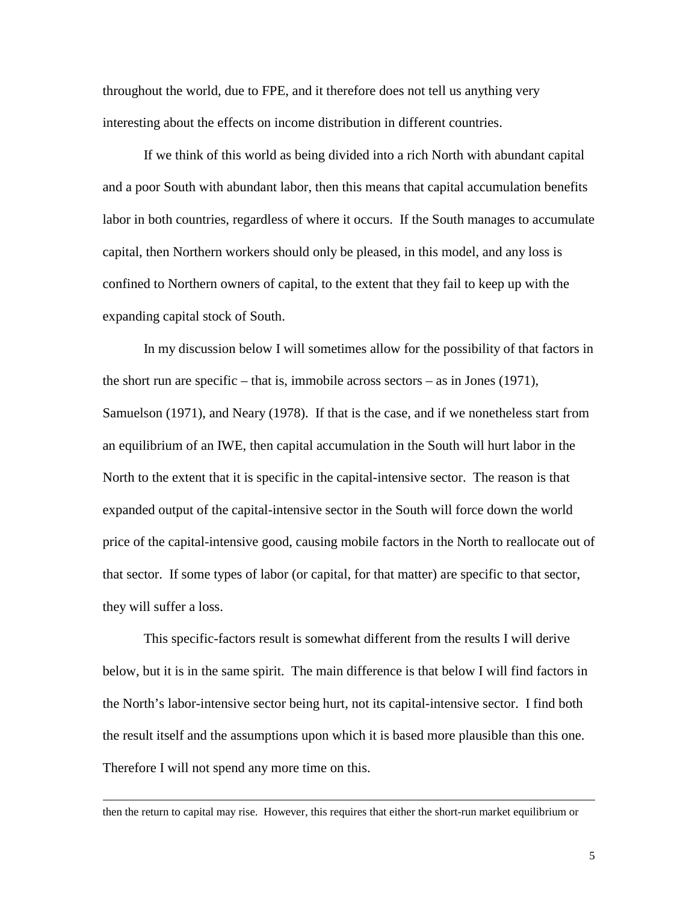throughout the world, due to FPE, and it therefore does not tell us anything very interesting about the effects on income distribution in different countries.

If we think of this world as being divided into a rich North with abundant capital and a poor South with abundant labor, then this means that capital accumulation benefits labor in both countries, regardless of where it occurs. If the South manages to accumulate capital, then Northern workers should only be pleased, in this model, and any loss is confined to Northern owners of capital, to the extent that they fail to keep up with the expanding capital stock of South.

In my discussion below I will sometimes allow for the possibility of that factors in the short run are specific – that is, immobile across sectors – as in Jones (1971), Samuelson (1971), and Neary (1978). If that is the case, and if we nonetheless start from an equilibrium of an IWE, then capital accumulation in the South will hurt labor in the North to the extent that it is specific in the capital-intensive sector. The reason is that expanded output of the capital-intensive sector in the South will force down the world price of the capital-intensive good, causing mobile factors in the North to reallocate out of that sector. If some types of labor (or capital, for that matter) are specific to that sector, they will suffer a loss.

This specific-factors result is somewhat different from the results I will derive below, but it is in the same spirit. The main difference is that below I will find factors in the North's labor-intensive sector being hurt, not its capital-intensive sector. I find both the result itself and the assumptions upon which it is based more plausible than this one. Therefore I will not spend any more time on this.

then the return to capital may rise. However, this requires that either the short-run market equilibrium or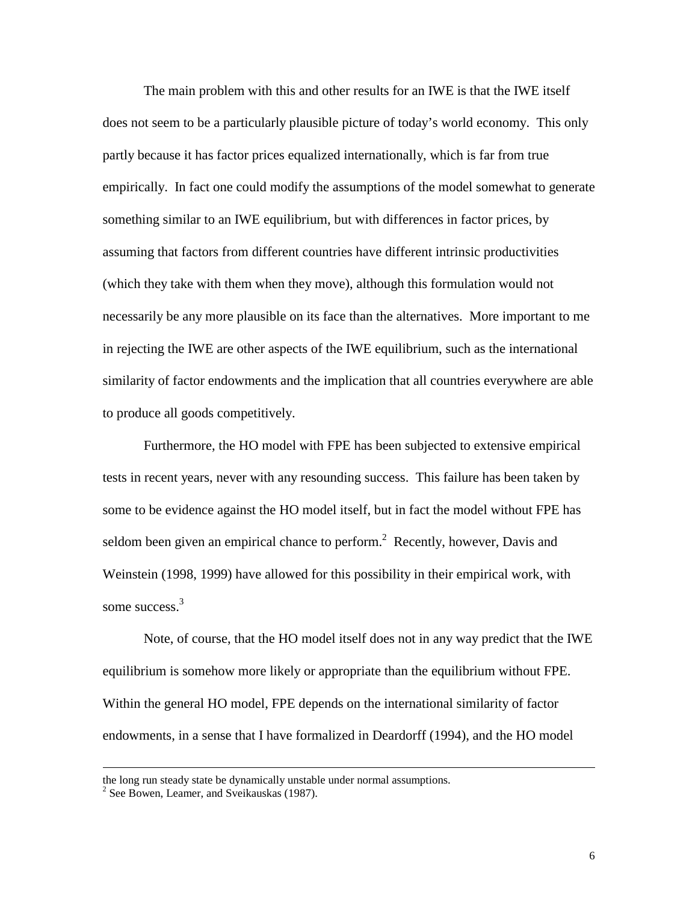The main problem with this and other results for an IWE is that the IWE itself does not seem to be a particularly plausible picture of today's world economy. This only partly because it has factor prices equalized internationally, which is far from true empirically. In fact one could modify the assumptions of the model somewhat to generate something similar to an IWE equilibrium, but with differences in factor prices, by assuming that factors from different countries have different intrinsic productivities (which they take with them when they move), although this formulation would not necessarily be any more plausible on its face than the alternatives. More important to me in rejecting the IWE are other aspects of the IWE equilibrium, such as the international similarity of factor endowments and the implication that all countries everywhere are able to produce all goods competitively.

Furthermore, the HO model with FPE has been subjected to extensive empirical tests in recent years, never with any resounding success. This failure has been taken by some to be evidence against the HO model itself, but in fact the model without FPE has seldom been given an empirical chance to perform.<sup>2</sup> Recently, however, Davis and Weinstein (1998, 1999) have allowed for this possibility in their empirical work, with some success.<sup>3</sup>

Note, of course, that the HO model itself does not in any way predict that the IWE equilibrium is somehow more likely or appropriate than the equilibrium without FPE. Within the general HO model, FPE depends on the international similarity of factor endowments, in a sense that I have formalized in Deardorff (1994), and the HO model

the long run steady state be dynamically unstable under normal assumptions.

<sup>&</sup>lt;sup>2</sup> See Bowen, Leamer, and Sveikauskas (1987).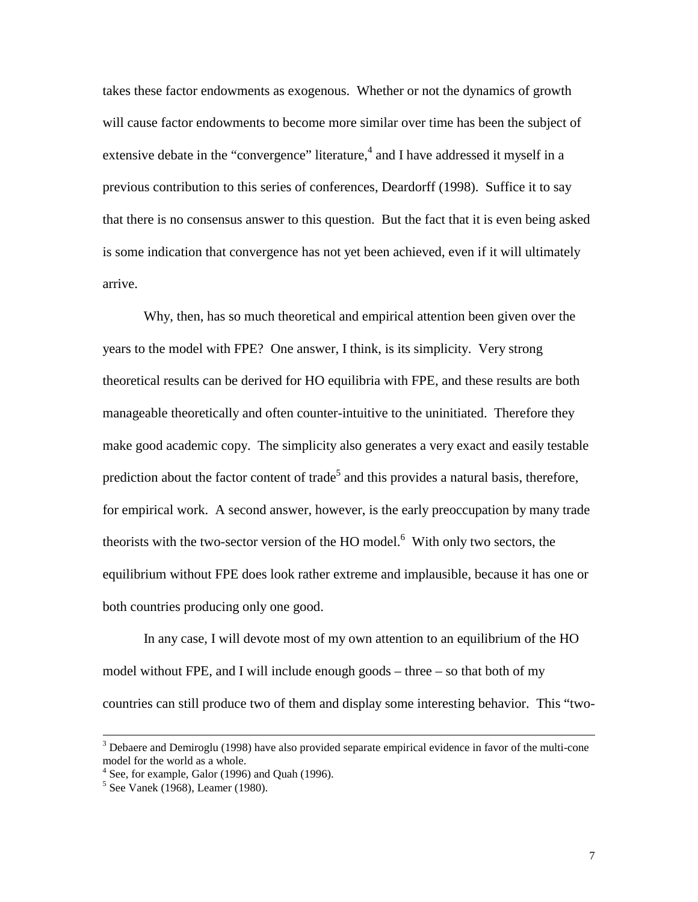takes these factor endowments as exogenous. Whether or not the dynamics of growth will cause factor endowments to become more similar over time has been the subject of extensive debate in the "convergence" literature,<sup>4</sup> and I have addressed it myself in a previous contribution to this series of conferences, Deardorff (1998). Suffice it to say that there is no consensus answer to this question. But the fact that it is even being asked is some indication that convergence has not yet been achieved, even if it will ultimately arrive.

Why, then, has so much theoretical and empirical attention been given over the years to the model with FPE? One answer, I think, is its simplicity. Very strong theoretical results can be derived for HO equilibria with FPE, and these results are both manageable theoretically and often counter-intuitive to the uninitiated. Therefore they make good academic copy. The simplicity also generates a very exact and easily testable prediction about the factor content of trade<sup>5</sup> and this provides a natural basis, therefore, for empirical work. A second answer, however, is the early preoccupation by many trade theorists with the two-sector version of the HO model. $<sup>6</sup>$  With only two sectors, the</sup> equilibrium without FPE does look rather extreme and implausible, because it has one or both countries producing only one good.

In any case, I will devote most of my own attention to an equilibrium of the HO model without FPE, and I will include enough goods – three – so that both of my countries can still produce two of them and display some interesting behavior. This "two-

 <sup>3</sup> <sup>3</sup> Debaere and Demiroglu (1998) have also provided separate empirical evidence in favor of the multi-cone model for the world as a whole.

 $4$  See, for example, Galor (1996) and Quah (1996).

<sup>5</sup> See Vanek (1968), Leamer (1980).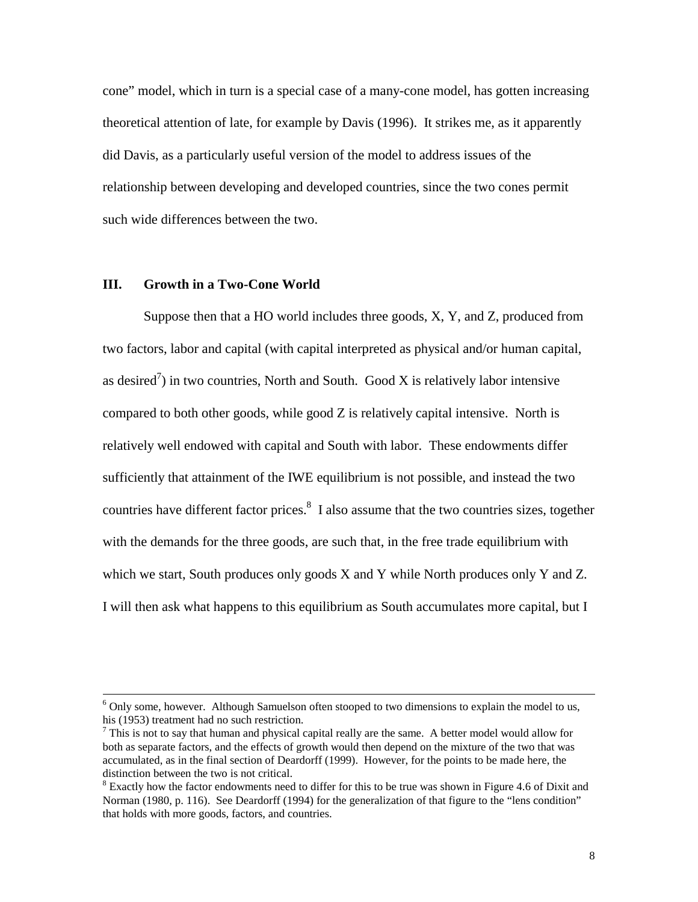cone" model, which in turn is a special case of a many-cone model, has gotten increasing theoretical attention of late, for example by Davis (1996). It strikes me, as it apparently did Davis, as a particularly useful version of the model to address issues of the relationship between developing and developed countries, since the two cones permit such wide differences between the two.

## **III. Growth in a Two-Cone World**

Suppose then that a HO world includes three goods, X, Y, and Z, produced from two factors, labor and capital (with capital interpreted as physical and/or human capital, as desired<sup>7</sup>) in two countries, North and South. Good X is relatively labor intensive compared to both other goods, while good Z is relatively capital intensive. North is relatively well endowed with capital and South with labor. These endowments differ sufficiently that attainment of the IWE equilibrium is not possible, and instead the two countries have different factor prices. $8\,$  I also assume that the two countries sizes, together with the demands for the three goods, are such that, in the free trade equilibrium with which we start, South produces only goods X and Y while North produces only Y and Z. I will then ask what happens to this equilibrium as South accumulates more capital, but I

 <sup>6</sup>  $6$  Only some, however. Although Samuelson often stooped to two dimensions to explain the model to us, his (1953) treatment had no such restriction.

 $<sup>7</sup>$  This is not to say that human and physical capital really are the same. A better model would allow for</sup> both as separate factors, and the effects of growth would then depend on the mixture of the two that was accumulated, as in the final section of Deardorff (1999). However, for the points to be made here, the distinction between the two is not critical.

 $8$  Exactly how the factor endowments need to differ for this to be true was shown in Figure 4.6 of Dixit and Norman (1980, p. 116). See Deardorff (1994) for the generalization of that figure to the "lens condition" that holds with more goods, factors, and countries.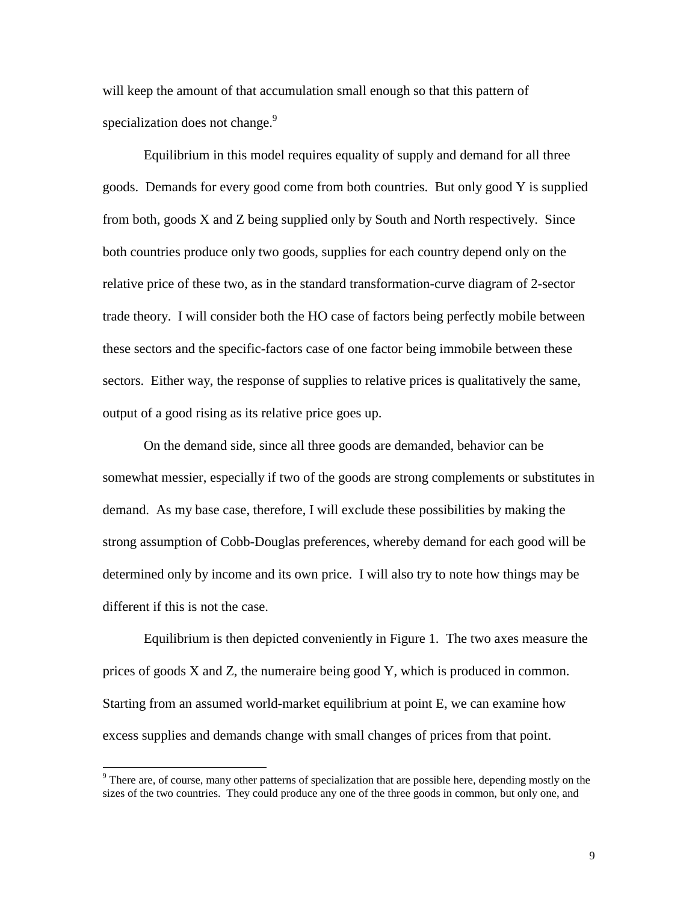will keep the amount of that accumulation small enough so that this pattern of specialization does not change.<sup>9</sup>

Equilibrium in this model requires equality of supply and demand for all three goods. Demands for every good come from both countries. But only good Y is supplied from both, goods X and Z being supplied only by South and North respectively. Since both countries produce only two goods, supplies for each country depend only on the relative price of these two, as in the standard transformation-curve diagram of 2-sector trade theory. I will consider both the HO case of factors being perfectly mobile between these sectors and the specific-factors case of one factor being immobile between these sectors. Either way, the response of supplies to relative prices is qualitatively the same, output of a good rising as its relative price goes up.

On the demand side, since all three goods are demanded, behavior can be somewhat messier, especially if two of the goods are strong complements or substitutes in demand. As my base case, therefore, I will exclude these possibilities by making the strong assumption of Cobb-Douglas preferences, whereby demand for each good will be determined only by income and its own price. I will also try to note how things may be different if this is not the case.

Equilibrium is then depicted conveniently in Figure 1. The two axes measure the prices of goods X and Z, the numeraire being good Y, which is produced in common. Starting from an assumed world-market equilibrium at point E, we can examine how excess supplies and demands change with small changes of prices from that point.

<sup>&</sup>lt;sup>9</sup> There are, of course, many other patterns of specialization that are possible here, depending mostly on the sizes of the two countries. They could produce any one of the three goods in common, but only one, and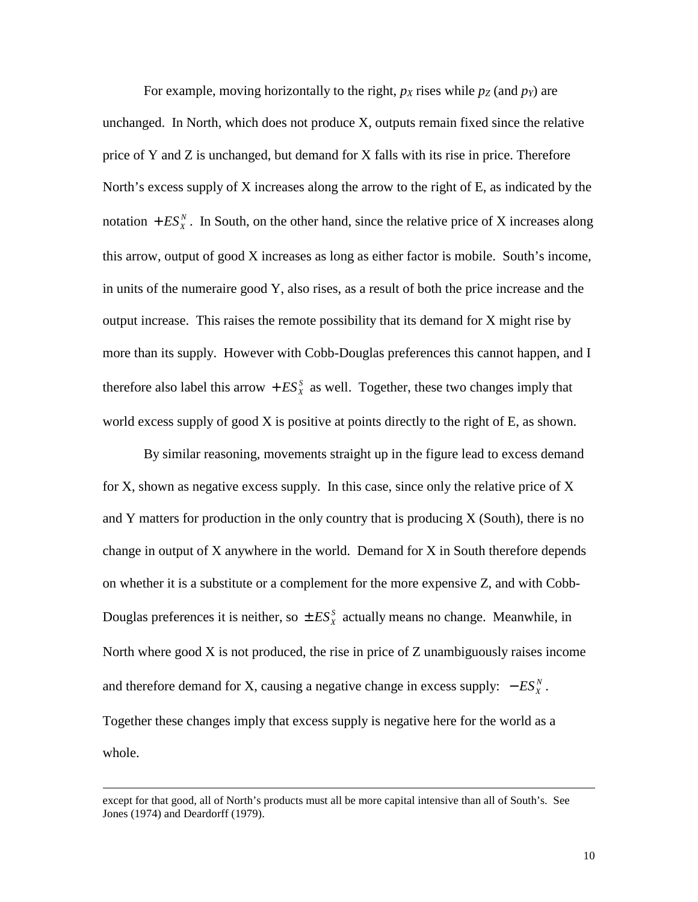For example, moving horizontally to the right,  $p<sub>X</sub>$  rises while  $p<sub>Z</sub>$  (and  $p<sub>Y</sub>$ ) are unchanged. In North, which does not produce X, outputs remain fixed since the relative price of Y and Z is unchanged, but demand for X falls with its rise in price. Therefore North's excess supply of X increases along the arrow to the right of E, as indicated by the notation  $+ ES_X^N$ . In South, on the other hand, since the relative price of X increases along this arrow, output of good X increases as long as either factor is mobile. South's income, in units of the numeraire good Y, also rises, as a result of both the price increase and the output increase. This raises the remote possibility that its demand for X might rise by more than its supply. However with Cobb-Douglas preferences this cannot happen, and I therefore also label this arrow  $+ ES_X^S$  as well. Together, these two changes imply that world excess supply of good X is positive at points directly to the right of E, as shown.

By similar reasoning, movements straight up in the figure lead to excess demand for X, shown as negative excess supply. In this case, since only the relative price of X and Y matters for production in the only country that is producing  $X$  (South), there is no change in output of X anywhere in the world. Demand for X in South therefore depends on whether it is a substitute or a complement for the more expensive Z, and with Cobb-Douglas preferences it is neither, so  $\pm ES_X^S$  actually means no change. Meanwhile, in North where good  $X$  is not produced, the rise in price of  $Z$  unambiguously raises income and therefore demand for X, causing a negative change in excess supply:  $-ES_X^N$ . Together these changes imply that excess supply is negative here for the world as a whole.

except for that good, all of North's products must all be more capital intensive than all of South's. See Jones (1974) and Deardorff (1979).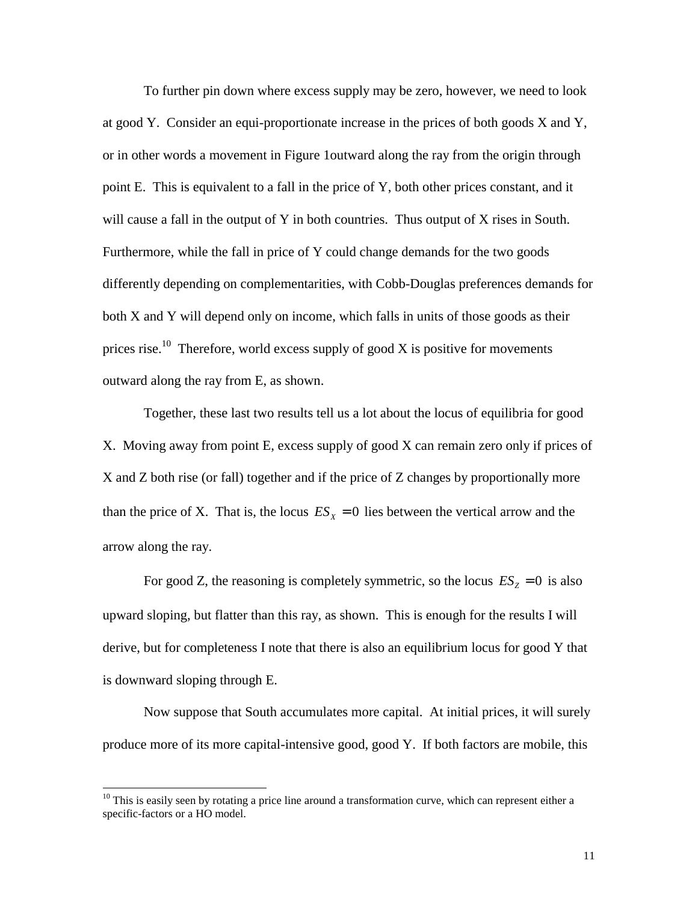To further pin down where excess supply may be zero, however, we need to look at good Y. Consider an equi-proportionate increase in the prices of both goods X and Y, or in other words a movement in Figure 1outward along the ray from the origin through point E. This is equivalent to a fall in the price of Y, both other prices constant, and it will cause a fall in the output of Y in both countries. Thus output of X rises in South. Furthermore, while the fall in price of Y could change demands for the two goods differently depending on complementarities, with Cobb-Douglas preferences demands for both X and Y will depend only on income, which falls in units of those goods as their prices rise.<sup>10</sup> Therefore, world excess supply of good X is positive for movements outward along the ray from E, as shown.

Together, these last two results tell us a lot about the locus of equilibria for good X. Moving away from point E, excess supply of good X can remain zero only if prices of X and Z both rise (or fall) together and if the price of Z changes by proportionally more than the price of X. That is, the locus  $ES<sub>x</sub> = 0$  lies between the vertical arrow and the arrow along the ray.

For good Z, the reasoning is completely symmetric, so the locus  $ES_z = 0$  is also upward sloping, but flatter than this ray, as shown. This is enough for the results I will derive, but for completeness I note that there is also an equilibrium locus for good Y that is downward sloping through E.

Now suppose that South accumulates more capital. At initial prices, it will surely produce more of its more capital-intensive good, good Y. If both factors are mobile, this

 $10$  This is easily seen by rotating a price line around a transformation curve, which can represent either a specific-factors or a HO model.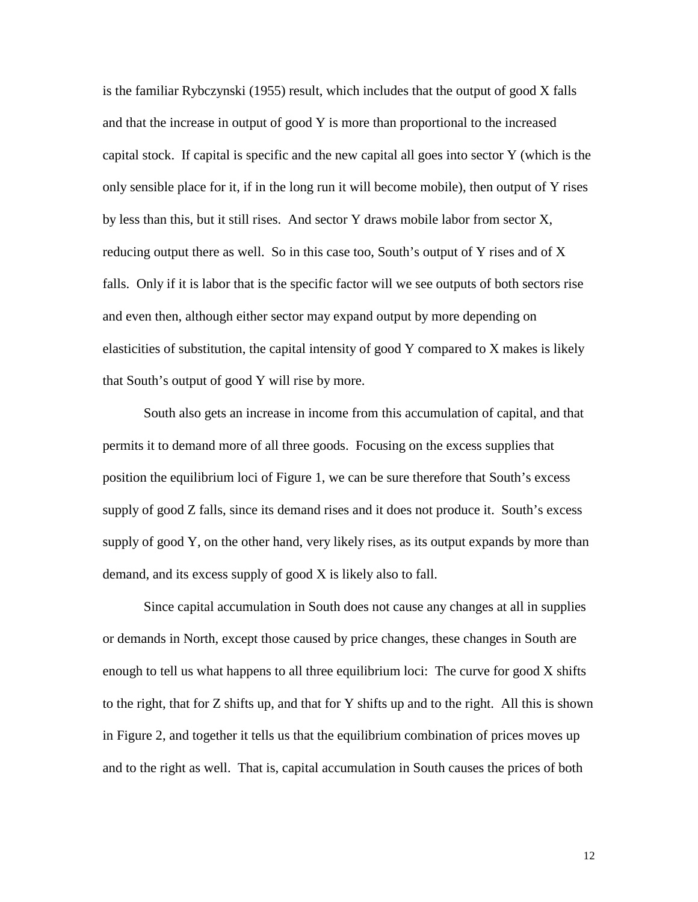is the familiar Rybczynski (1955) result, which includes that the output of good X falls and that the increase in output of good Y is more than proportional to the increased capital stock. If capital is specific and the new capital all goes into sector Y (which is the only sensible place for it, if in the long run it will become mobile), then output of Y rises by less than this, but it still rises. And sector Y draws mobile labor from sector X, reducing output there as well. So in this case too, South's output of Y rises and of X falls. Only if it is labor that is the specific factor will we see outputs of both sectors rise and even then, although either sector may expand output by more depending on elasticities of substitution, the capital intensity of good Y compared to X makes is likely that South's output of good Y will rise by more.

South also gets an increase in income from this accumulation of capital, and that permits it to demand more of all three goods. Focusing on the excess supplies that position the equilibrium loci of Figure 1, we can be sure therefore that South's excess supply of good Z falls, since its demand rises and it does not produce it. South's excess supply of good Y, on the other hand, very likely rises, as its output expands by more than demand, and its excess supply of good X is likely also to fall.

Since capital accumulation in South does not cause any changes at all in supplies or demands in North, except those caused by price changes, these changes in South are enough to tell us what happens to all three equilibrium loci: The curve for good X shifts to the right, that for Z shifts up, and that for Y shifts up and to the right. All this is shown in Figure 2, and together it tells us that the equilibrium combination of prices moves up and to the right as well. That is, capital accumulation in South causes the prices of both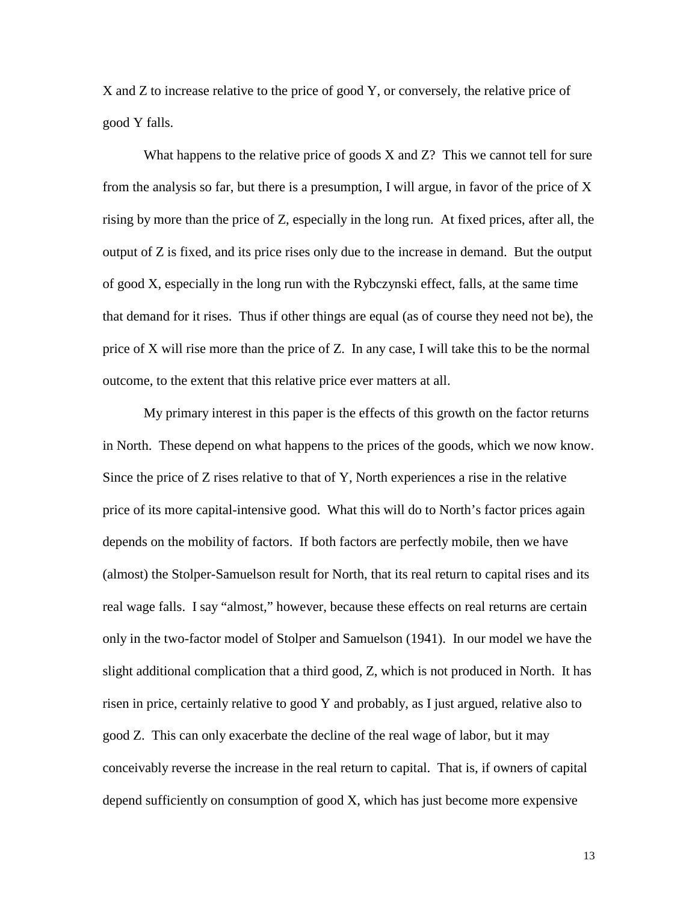X and Z to increase relative to the price of good Y, or conversely, the relative price of good Y falls.

What happens to the relative price of goods X and Z? This we cannot tell for sure from the analysis so far, but there is a presumption, I will argue, in favor of the price of X rising by more than the price of Z, especially in the long run. At fixed prices, after all, the output of Z is fixed, and its price rises only due to the increase in demand. But the output of good X, especially in the long run with the Rybczynski effect, falls, at the same time that demand for it rises. Thus if other things are equal (as of course they need not be), the price of X will rise more than the price of Z. In any case, I will take this to be the normal outcome, to the extent that this relative price ever matters at all.

My primary interest in this paper is the effects of this growth on the factor returns in North. These depend on what happens to the prices of the goods, which we now know. Since the price of Z rises relative to that of Y, North experiences a rise in the relative price of its more capital-intensive good. What this will do to North's factor prices again depends on the mobility of factors. If both factors are perfectly mobile, then we have (almost) the Stolper-Samuelson result for North, that its real return to capital rises and its real wage falls. I say "almost," however, because these effects on real returns are certain only in the two-factor model of Stolper and Samuelson (1941). In our model we have the slight additional complication that a third good, Z, which is not produced in North. It has risen in price, certainly relative to good Y and probably, as I just argued, relative also to good Z. This can only exacerbate the decline of the real wage of labor, but it may conceivably reverse the increase in the real return to capital. That is, if owners of capital depend sufficiently on consumption of good X, which has just become more expensive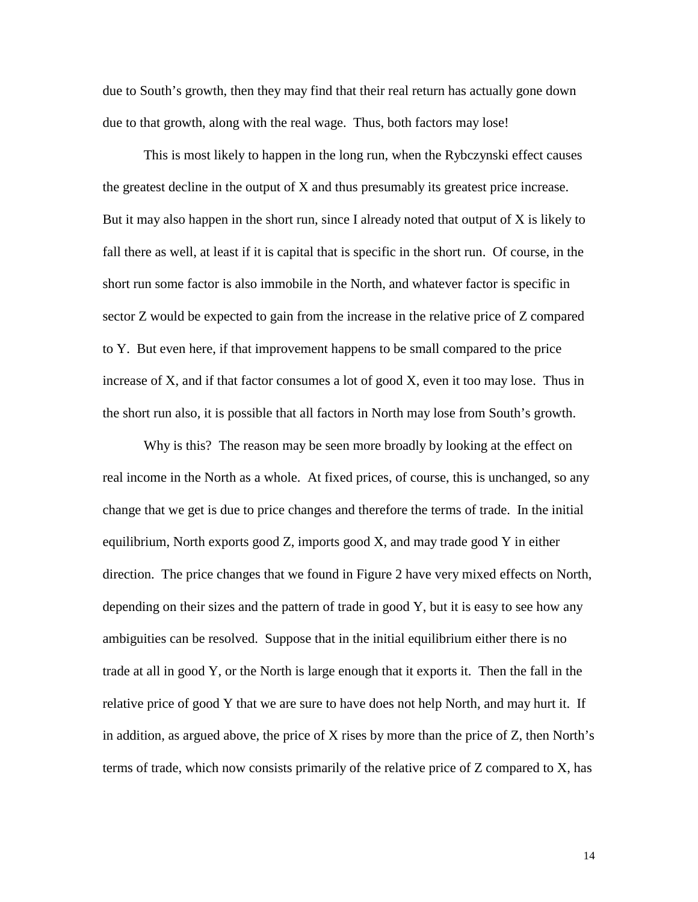due to South's growth, then they may find that their real return has actually gone down due to that growth, along with the real wage. Thus, both factors may lose!

This is most likely to happen in the long run, when the Rybczynski effect causes the greatest decline in the output of X and thus presumably its greatest price increase. But it may also happen in the short run, since I already noted that output of  $X$  is likely to fall there as well, at least if it is capital that is specific in the short run. Of course, in the short run some factor is also immobile in the North, and whatever factor is specific in sector Z would be expected to gain from the increase in the relative price of Z compared to Y. But even here, if that improvement happens to be small compared to the price increase of X, and if that factor consumes a lot of good X, even it too may lose. Thus in the short run also, it is possible that all factors in North may lose from South's growth.

Why is this? The reason may be seen more broadly by looking at the effect on real income in the North as a whole. At fixed prices, of course, this is unchanged, so any change that we get is due to price changes and therefore the terms of trade. In the initial equilibrium, North exports good Z, imports good X, and may trade good Y in either direction. The price changes that we found in Figure 2 have very mixed effects on North, depending on their sizes and the pattern of trade in good Y, but it is easy to see how any ambiguities can be resolved. Suppose that in the initial equilibrium either there is no trade at all in good Y, or the North is large enough that it exports it. Then the fall in the relative price of good Y that we are sure to have does not help North, and may hurt it. If in addition, as argued above, the price of X rises by more than the price of Z, then North's terms of trade, which now consists primarily of the relative price of Z compared to X, has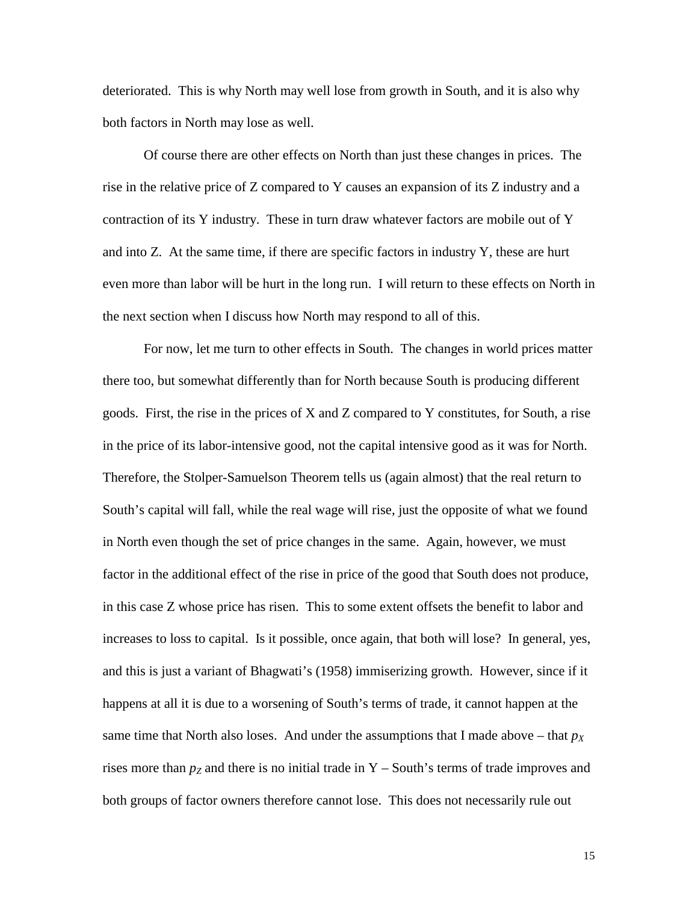deteriorated. This is why North may well lose from growth in South, and it is also why both factors in North may lose as well.

Of course there are other effects on North than just these changes in prices. The rise in the relative price of Z compared to Y causes an expansion of its Z industry and a contraction of its Y industry. These in turn draw whatever factors are mobile out of Y and into Z. At the same time, if there are specific factors in industry Y, these are hurt even more than labor will be hurt in the long run. I will return to these effects on North in the next section when I discuss how North may respond to all of this.

For now, let me turn to other effects in South. The changes in world prices matter there too, but somewhat differently than for North because South is producing different goods. First, the rise in the prices of X and Z compared to Y constitutes, for South, a rise in the price of its labor-intensive good, not the capital intensive good as it was for North. Therefore, the Stolper-Samuelson Theorem tells us (again almost) that the real return to South's capital will fall, while the real wage will rise, just the opposite of what we found in North even though the set of price changes in the same. Again, however, we must factor in the additional effect of the rise in price of the good that South does not produce, in this case Z whose price has risen. This to some extent offsets the benefit to labor and increases to loss to capital. Is it possible, once again, that both will lose? In general, yes, and this is just a variant of Bhagwati's (1958) immiserizing growth. However, since if it happens at all it is due to a worsening of South's terms of trade, it cannot happen at the same time that North also loses. And under the assumptions that I made above – that  $p<sub>X</sub>$ rises more than  $p_Z$  and there is no initial trade in Y – South's terms of trade improves and both groups of factor owners therefore cannot lose. This does not necessarily rule out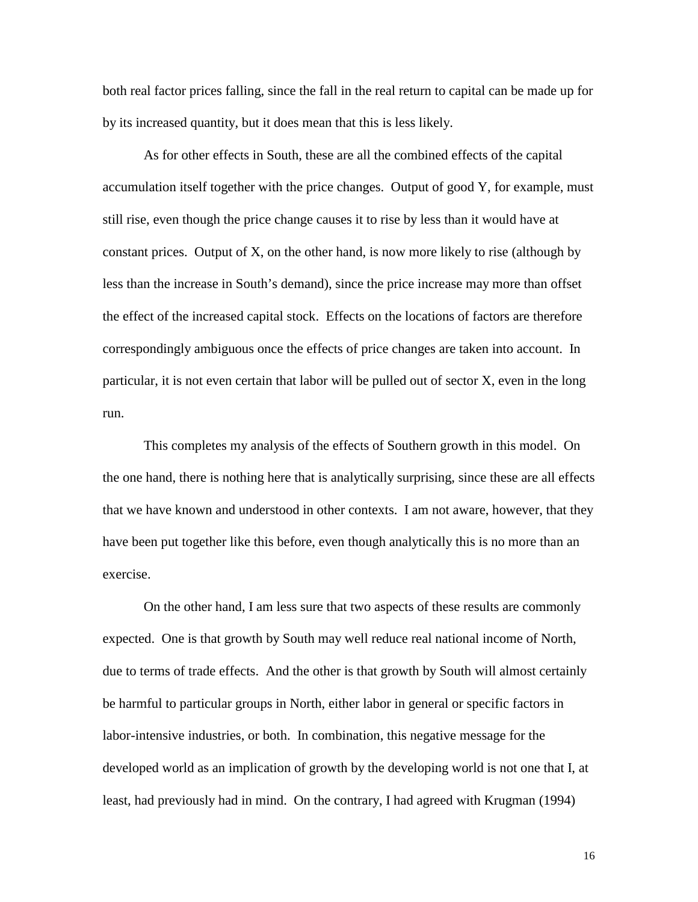both real factor prices falling, since the fall in the real return to capital can be made up for by its increased quantity, but it does mean that this is less likely.

As for other effects in South, these are all the combined effects of the capital accumulation itself together with the price changes. Output of good Y, for example, must still rise, even though the price change causes it to rise by less than it would have at constant prices. Output of X, on the other hand, is now more likely to rise (although by less than the increase in South's demand), since the price increase may more than offset the effect of the increased capital stock. Effects on the locations of factors are therefore correspondingly ambiguous once the effects of price changes are taken into account. In particular, it is not even certain that labor will be pulled out of sector X, even in the long run.

This completes my analysis of the effects of Southern growth in this model. On the one hand, there is nothing here that is analytically surprising, since these are all effects that we have known and understood in other contexts. I am not aware, however, that they have been put together like this before, even though analytically this is no more than an exercise.

On the other hand, I am less sure that two aspects of these results are commonly expected. One is that growth by South may well reduce real national income of North, due to terms of trade effects. And the other is that growth by South will almost certainly be harmful to particular groups in North, either labor in general or specific factors in labor-intensive industries, or both. In combination, this negative message for the developed world as an implication of growth by the developing world is not one that I, at least, had previously had in mind. On the contrary, I had agreed with Krugman (1994)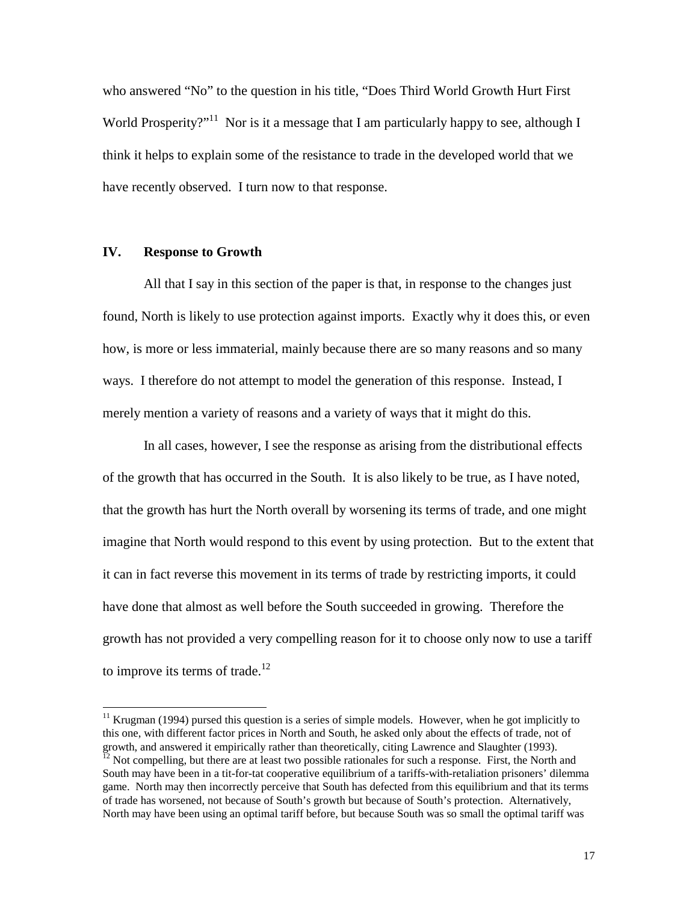who answered "No" to the question in his title, "Does Third World Growth Hurt First World Prosperity?"<sup>11</sup> Nor is it a message that I am particularly happy to see, although I think it helps to explain some of the resistance to trade in the developed world that we have recently observed. I turn now to that response.

## **IV. Response to Growth**

 $\overline{a}$ 

All that I say in this section of the paper is that, in response to the changes just found, North is likely to use protection against imports. Exactly why it does this, or even how, is more or less immaterial, mainly because there are so many reasons and so many ways. I therefore do not attempt to model the generation of this response. Instead, I merely mention a variety of reasons and a variety of ways that it might do this.

In all cases, however, I see the response as arising from the distributional effects of the growth that has occurred in the South. It is also likely to be true, as I have noted, that the growth has hurt the North overall by worsening its terms of trade, and one might imagine that North would respond to this event by using protection. But to the extent that it can in fact reverse this movement in its terms of trade by restricting imports, it could have done that almost as well before the South succeeded in growing. Therefore the growth has not provided a very compelling reason for it to choose only now to use a tariff to improve its terms of trade.<sup>12</sup>

 $11$  Krugman (1994) pursed this question is a series of simple models. However, when he got implicitly to this one, with different factor prices in North and South, he asked only about the effects of trade, not of growth, and answered it empirically rather than theoretically, citing Lawrence and Slaughter (1993).<br><sup>12</sup> Not compelling, but there are at least two possible rationales for such a response. First, the North and South may have been in a tit-for-tat cooperative equilibrium of a tariffs-with-retaliation prisoners' dilemma game. North may then incorrectly perceive that South has defected from this equilibrium and that its terms of trade has worsened, not because of South's growth but because of South's protection. Alternatively, North may have been using an optimal tariff before, but because South was so small the optimal tariff was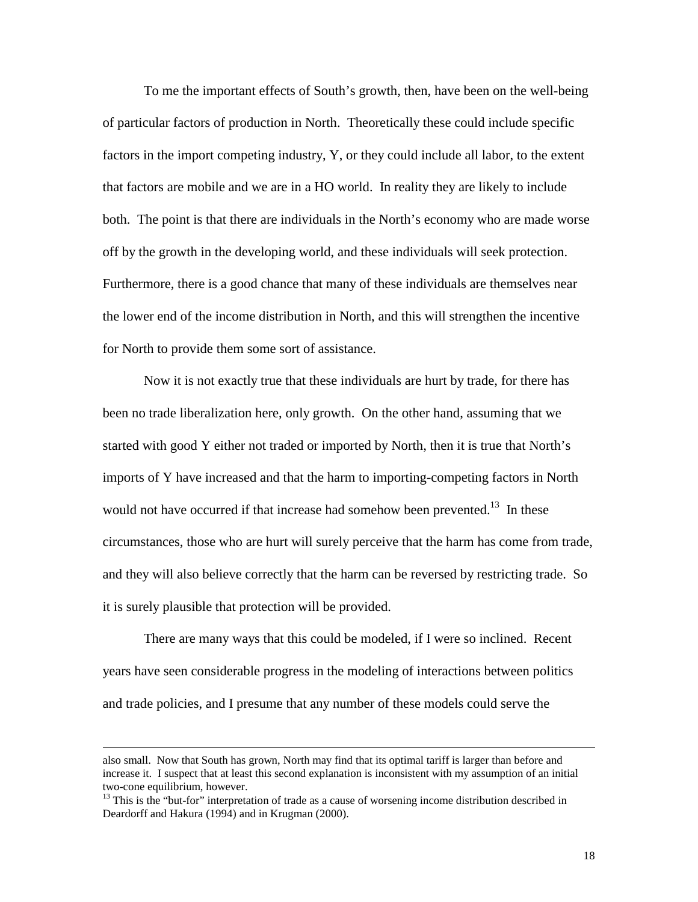To me the important effects of South's growth, then, have been on the well-being of particular factors of production in North. Theoretically these could include specific factors in the import competing industry, Y, or they could include all labor, to the extent that factors are mobile and we are in a HO world. In reality they are likely to include both. The point is that there are individuals in the North's economy who are made worse off by the growth in the developing world, and these individuals will seek protection. Furthermore, there is a good chance that many of these individuals are themselves near the lower end of the income distribution in North, and this will strengthen the incentive for North to provide them some sort of assistance.

Now it is not exactly true that these individuals are hurt by trade, for there has been no trade liberalization here, only growth. On the other hand, assuming that we started with good Y either not traded or imported by North, then it is true that North's imports of Y have increased and that the harm to importing-competing factors in North would not have occurred if that increase had somehow been prevented.<sup>13</sup> In these circumstances, those who are hurt will surely perceive that the harm has come from trade, and they will also believe correctly that the harm can be reversed by restricting trade. So it is surely plausible that protection will be provided.

There are many ways that this could be modeled, if I were so inclined. Recent years have seen considerable progress in the modeling of interactions between politics and trade policies, and I presume that any number of these models could serve the

also small. Now that South has grown, North may find that its optimal tariff is larger than before and increase it. I suspect that at least this second explanation is inconsistent with my assumption of an initial two-cone equilibrium, however.

<sup>&</sup>lt;sup>13</sup> This is the "but-for" interpretation of trade as a cause of worsening income distribution described in Deardorff and Hakura (1994) and in Krugman (2000).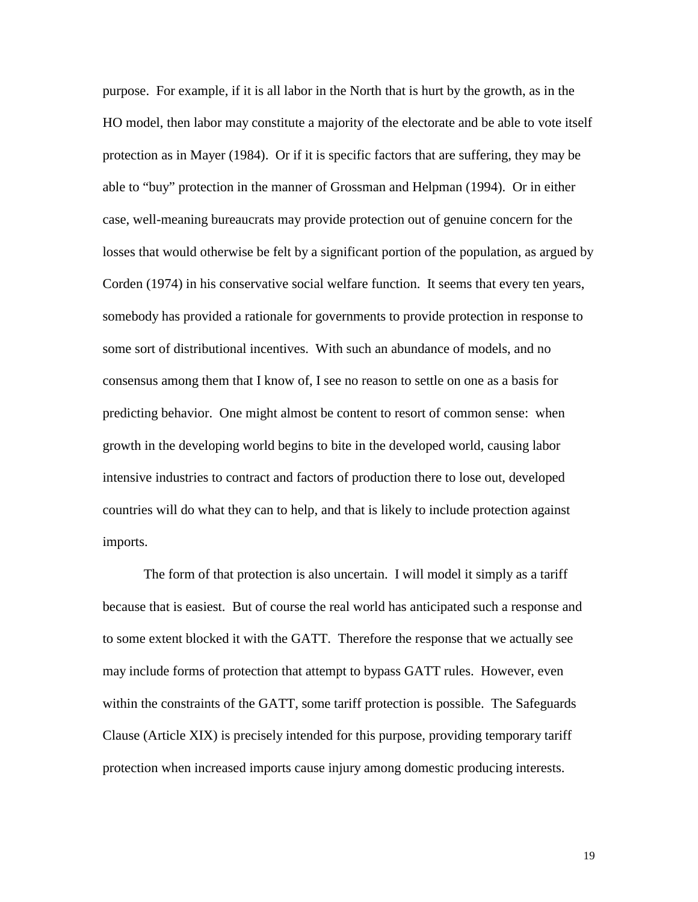purpose. For example, if it is all labor in the North that is hurt by the growth, as in the HO model, then labor may constitute a majority of the electorate and be able to vote itself protection as in Mayer (1984). Or if it is specific factors that are suffering, they may be able to "buy" protection in the manner of Grossman and Helpman (1994). Or in either case, well-meaning bureaucrats may provide protection out of genuine concern for the losses that would otherwise be felt by a significant portion of the population, as argued by Corden (1974) in his conservative social welfare function. It seems that every ten years, somebody has provided a rationale for governments to provide protection in response to some sort of distributional incentives. With such an abundance of models, and no consensus among them that I know of, I see no reason to settle on one as a basis for predicting behavior. One might almost be content to resort of common sense: when growth in the developing world begins to bite in the developed world, causing labor intensive industries to contract and factors of production there to lose out, developed countries will do what they can to help, and that is likely to include protection against imports.

The form of that protection is also uncertain. I will model it simply as a tariff because that is easiest. But of course the real world has anticipated such a response and to some extent blocked it with the GATT. Therefore the response that we actually see may include forms of protection that attempt to bypass GATT rules. However, even within the constraints of the GATT, some tariff protection is possible. The Safeguards Clause (Article XIX) is precisely intended for this purpose, providing temporary tariff protection when increased imports cause injury among domestic producing interests.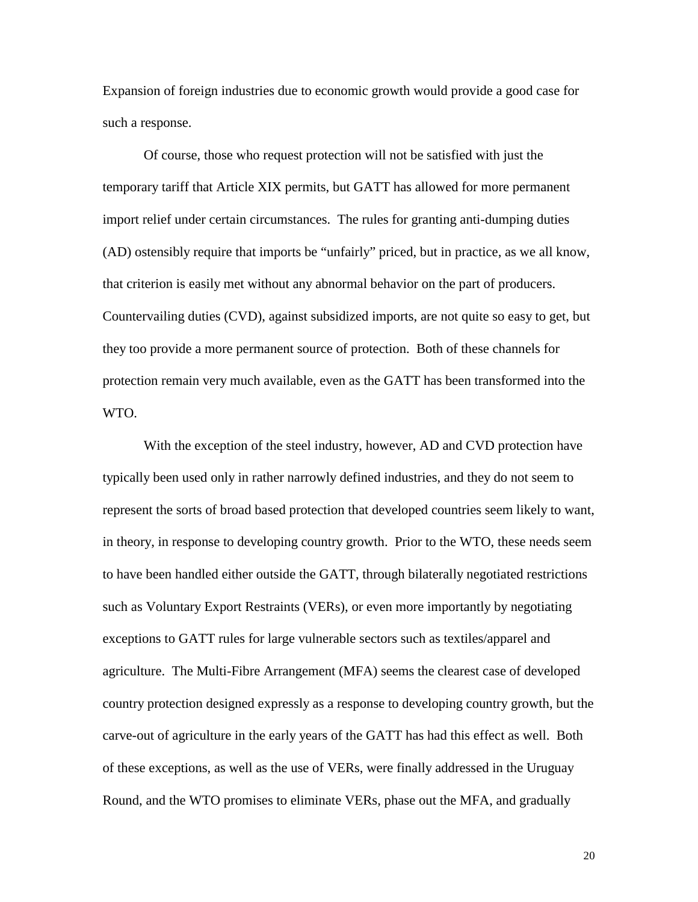Expansion of foreign industries due to economic growth would provide a good case for such a response.

Of course, those who request protection will not be satisfied with just the temporary tariff that Article XIX permits, but GATT has allowed for more permanent import relief under certain circumstances. The rules for granting anti-dumping duties (AD) ostensibly require that imports be "unfairly" priced, but in practice, as we all know, that criterion is easily met without any abnormal behavior on the part of producers. Countervailing duties (CVD), against subsidized imports, are not quite so easy to get, but they too provide a more permanent source of protection. Both of these channels for protection remain very much available, even as the GATT has been transformed into the WTO.

With the exception of the steel industry, however, AD and CVD protection have typically been used only in rather narrowly defined industries, and they do not seem to represent the sorts of broad based protection that developed countries seem likely to want, in theory, in response to developing country growth. Prior to the WTO, these needs seem to have been handled either outside the GATT, through bilaterally negotiated restrictions such as Voluntary Export Restraints (VERs), or even more importantly by negotiating exceptions to GATT rules for large vulnerable sectors such as textiles/apparel and agriculture. The Multi-Fibre Arrangement (MFA) seems the clearest case of developed country protection designed expressly as a response to developing country growth, but the carve-out of agriculture in the early years of the GATT has had this effect as well. Both of these exceptions, as well as the use of VERs, were finally addressed in the Uruguay Round, and the WTO promises to eliminate VERs, phase out the MFA, and gradually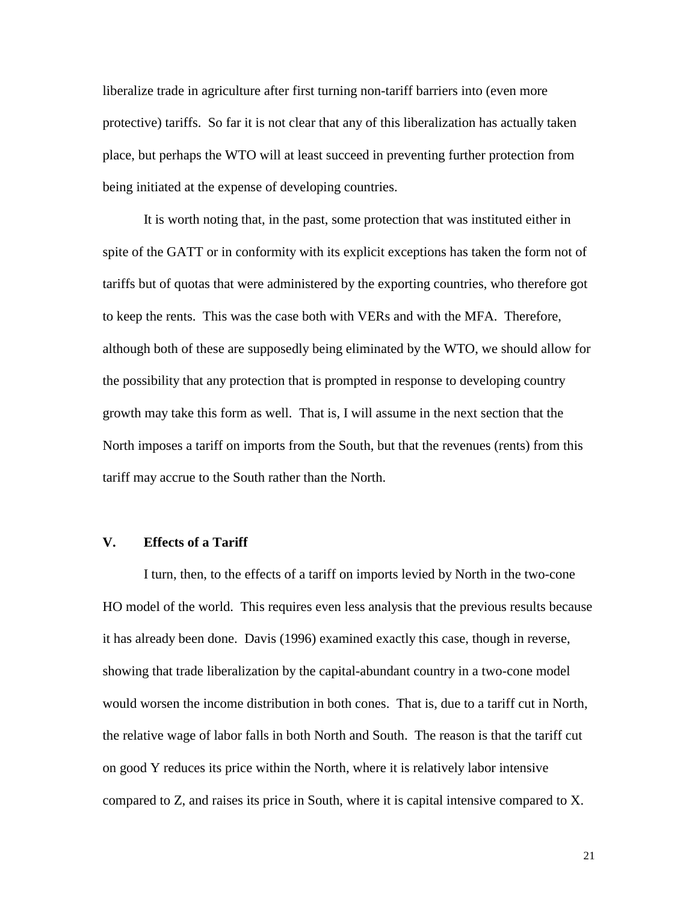liberalize trade in agriculture after first turning non-tariff barriers into (even more protective) tariffs. So far it is not clear that any of this liberalization has actually taken place, but perhaps the WTO will at least succeed in preventing further protection from being initiated at the expense of developing countries.

It is worth noting that, in the past, some protection that was instituted either in spite of the GATT or in conformity with its explicit exceptions has taken the form not of tariffs but of quotas that were administered by the exporting countries, who therefore got to keep the rents. This was the case both with VERs and with the MFA. Therefore, although both of these are supposedly being eliminated by the WTO, we should allow for the possibility that any protection that is prompted in response to developing country growth may take this form as well. That is, I will assume in the next section that the North imposes a tariff on imports from the South, but that the revenues (rents) from this tariff may accrue to the South rather than the North.

## **V. Effects of a Tariff**

I turn, then, to the effects of a tariff on imports levied by North in the two-cone HO model of the world. This requires even less analysis that the previous results because it has already been done. Davis (1996) examined exactly this case, though in reverse, showing that trade liberalization by the capital-abundant country in a two-cone model would worsen the income distribution in both cones. That is, due to a tariff cut in North, the relative wage of labor falls in both North and South. The reason is that the tariff cut on good Y reduces its price within the North, where it is relatively labor intensive compared to Z, and raises its price in South, where it is capital intensive compared to X.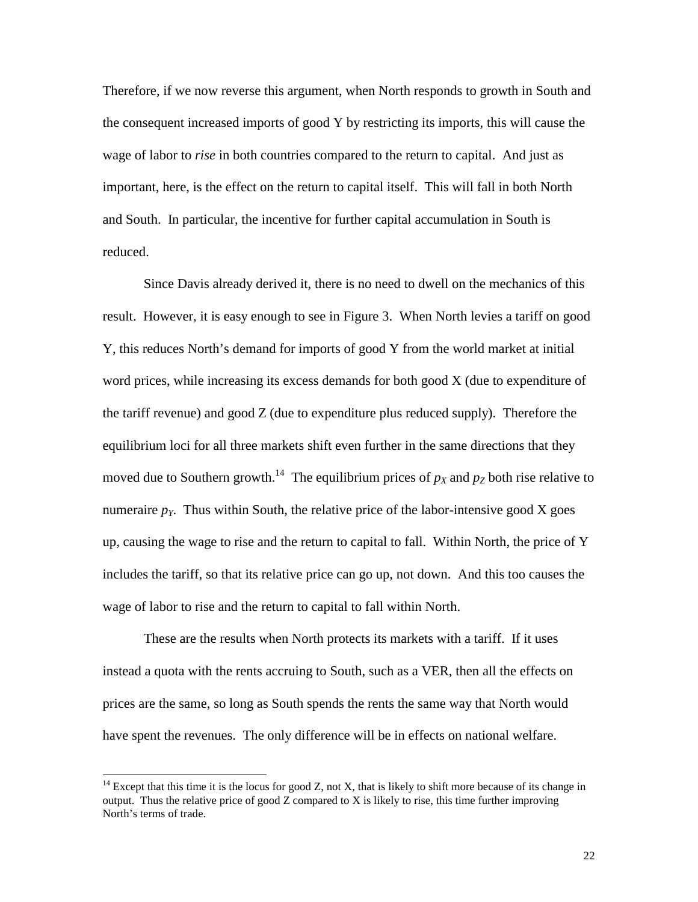Therefore, if we now reverse this argument, when North responds to growth in South and the consequent increased imports of good Y by restricting its imports, this will cause the wage of labor to *rise* in both countries compared to the return to capital. And just as important, here, is the effect on the return to capital itself. This will fall in both North and South. In particular, the incentive for further capital accumulation in South is reduced.

Since Davis already derived it, there is no need to dwell on the mechanics of this result. However, it is easy enough to see in Figure 3. When North levies a tariff on good Y, this reduces North's demand for imports of good Y from the world market at initial word prices, while increasing its excess demands for both good X (due to expenditure of the tariff revenue) and good Z (due to expenditure plus reduced supply). Therefore the equilibrium loci for all three markets shift even further in the same directions that they moved due to Southern growth.<sup>14</sup> The equilibrium prices of  $p<sub>X</sub>$  and  $p<sub>Z</sub>$  both rise relative to numeraire  $p<sub>Y</sub>$ . Thus within South, the relative price of the labor-intensive good X goes up, causing the wage to rise and the return to capital to fall. Within North, the price of Y includes the tariff, so that its relative price can go up, not down. And this too causes the wage of labor to rise and the return to capital to fall within North.

These are the results when North protects its markets with a tariff. If it uses instead a quota with the rents accruing to South, such as a VER, then all the effects on prices are the same, so long as South spends the rents the same way that North would have spent the revenues. The only difference will be in effects on national welfare.

 $14$  Except that this time it is the locus for good Z, not X, that is likely to shift more because of its change in output. Thus the relative price of good  $Z$  compared to  $X$  is likely to rise, this time further improving North's terms of trade.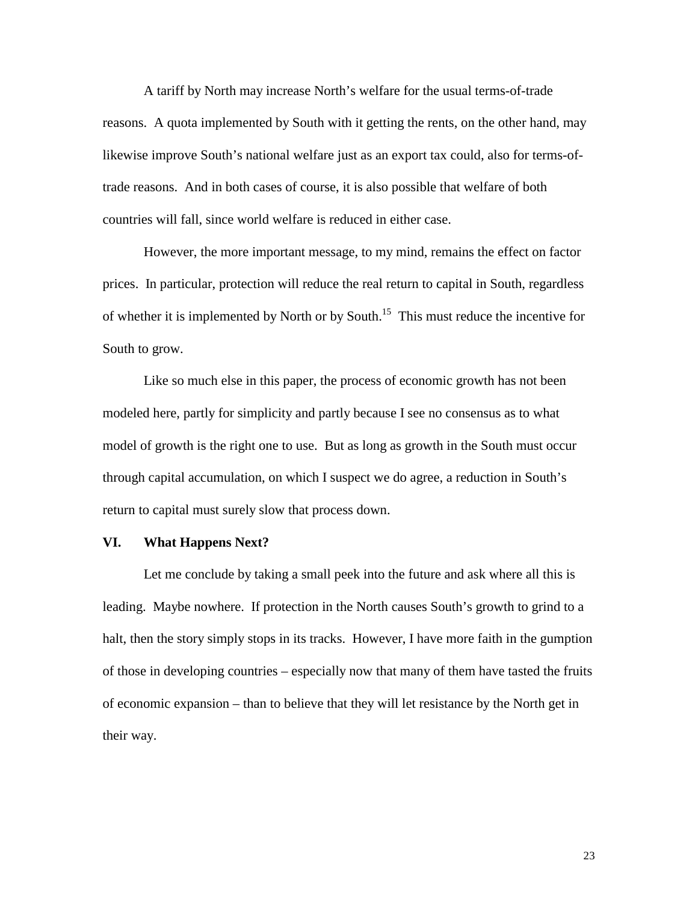A tariff by North may increase North's welfare for the usual terms-of-trade reasons. A quota implemented by South with it getting the rents, on the other hand, may likewise improve South's national welfare just as an export tax could, also for terms-oftrade reasons. And in both cases of course, it is also possible that welfare of both countries will fall, since world welfare is reduced in either case.

However, the more important message, to my mind, remains the effect on factor prices. In particular, protection will reduce the real return to capital in South, regardless of whether it is implemented by North or by South.<sup>15</sup> This must reduce the incentive for South to grow.

Like so much else in this paper, the process of economic growth has not been modeled here, partly for simplicity and partly because I see no consensus as to what model of growth is the right one to use. But as long as growth in the South must occur through capital accumulation, on which I suspect we do agree, a reduction in South's return to capital must surely slow that process down.

#### **VI. What Happens Next?**

Let me conclude by taking a small peek into the future and ask where all this is leading. Maybe nowhere. If protection in the North causes South's growth to grind to a halt, then the story simply stops in its tracks. However, I have more faith in the gumption of those in developing countries – especially now that many of them have tasted the fruits of economic expansion – than to believe that they will let resistance by the North get in their way.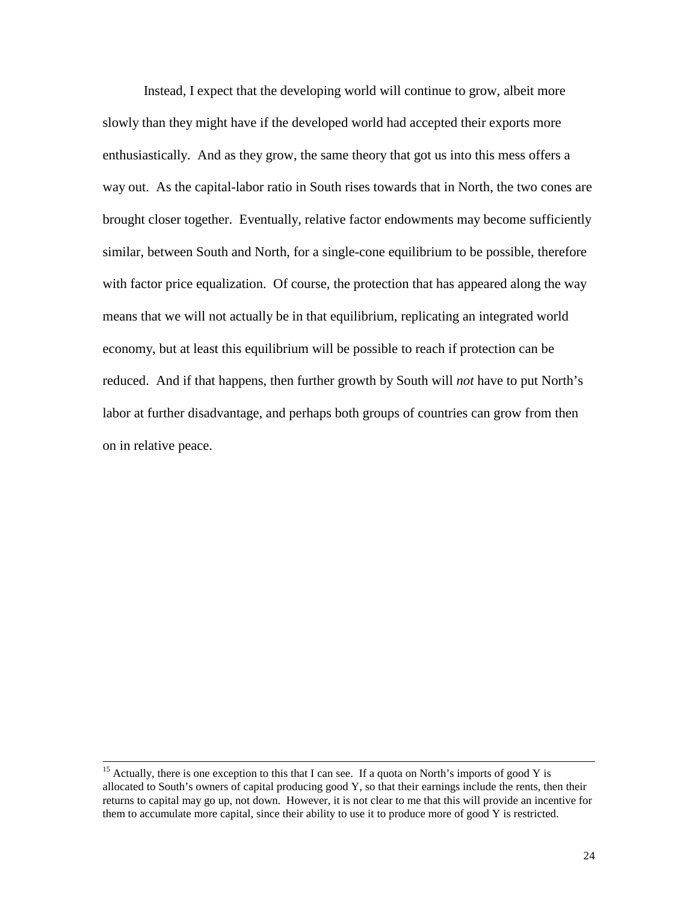Instead, I expect that the developing world will continue to grow, albeit more slowly than they might have if the developed world had accepted their exports more enthusiastically. And as they grow, the same theory that got us into this mess offers a way out. As the capital-labor ratio in South rises towards that in North, the two cones are brought closer together. Eventually, relative factor endowments may become sufficiently similar, between South and North, for a single-cone equilibrium to be possible, therefore with factor price equalization. Of course, the protection that has appeared along the way means that we will not actually be in that equilibrium, replicating an integrated world economy, but at least this equilibrium will be possible to reach if protection can be reduced. And if that happens, then further growth by South will *not* have to put North's labor at further disadvantage, and perhaps both groups of countries can grow from then on in relative peace.

<sup>&</sup>lt;sup>15</sup> Actually, there is one exception to this that I can see. If a quota on North's imports of good Y is allocated to South's owners of capital producing good Y, so that their earnings include the rents, then their returns to capital may go up, not down. However, it is not clear to me that this will provide an incentive for them to accumulate more capital, since their ability to use it to produce more of good Y is restricted.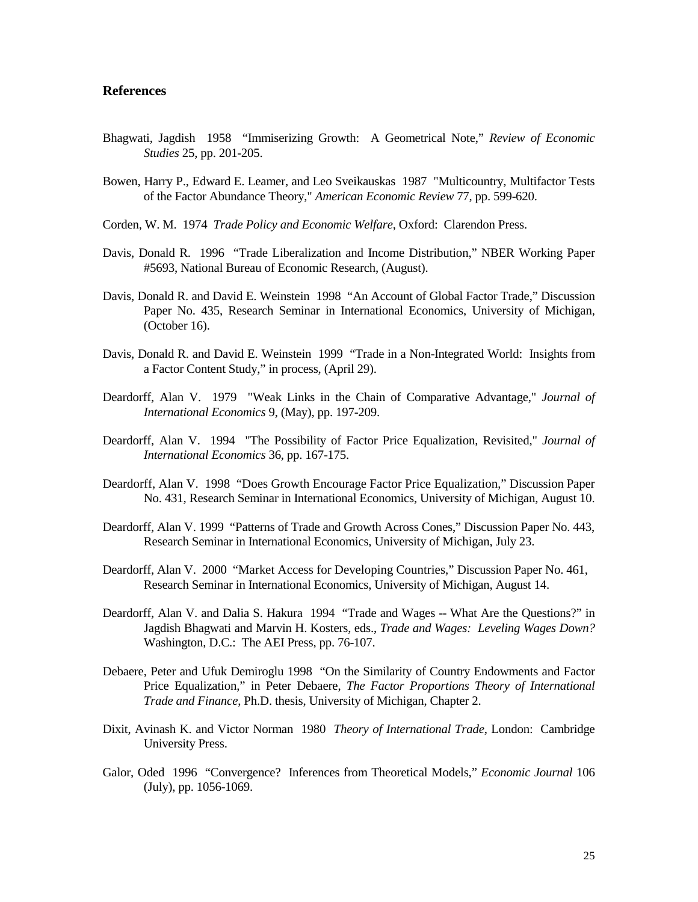## **References**

- Bhagwati, Jagdish 1958 "Immiserizing Growth: A Geometrical Note," *Review of Economic Studies* 25, pp. 201-205.
- Bowen, Harry P., Edward E. Leamer, and Leo Sveikauskas 1987 "Multicountry, Multifactor Tests of the Factor Abundance Theory," *American Economic Review* 77, pp. 599-620.
- Corden, W. M. 1974 *Trade Policy and Economic Welfare*, Oxford: Clarendon Press.
- Davis, Donald R. 1996 "Trade Liberalization and Income Distribution," NBER Working Paper #5693, National Bureau of Economic Research, (August).
- Davis, Donald R. and David E. Weinstein 1998 "An Account of Global Factor Trade," Discussion Paper No. 435, Research Seminar in International Economics, University of Michigan, (October 16).
- Davis, Donald R. and David E. Weinstein 1999 "Trade in a Non-Integrated World: Insights from a Factor Content Study," in process, (April 29).
- Deardorff, Alan V. 1979 "Weak Links in the Chain of Comparative Advantage," *Journal of International Economics* 9, (May), pp. 197-209.
- Deardorff, Alan V. 1994 "The Possibility of Factor Price Equalization, Revisited," *Journal of International Economics* 36, pp. 167-175.
- Deardorff, Alan V. 1998 "Does Growth Encourage Factor Price Equalization," Discussion Paper No. 431, Research Seminar in International Economics, University of Michigan, August 10.
- Deardorff, Alan V. 1999 "Patterns of Trade and Growth Across Cones," Discussion Paper No. 443, Research Seminar in International Economics, University of Michigan, July 23.
- Deardorff, Alan V. 2000 "Market Access for Developing Countries," Discussion Paper No. 461, Research Seminar in International Economics, University of Michigan, August 14.
- Deardorff, Alan V. and Dalia S. Hakura 1994 "Trade and Wages -- What Are the Questions?" in Jagdish Bhagwati and Marvin H. Kosters, eds., *Trade and Wages: Leveling Wages Down?* Washington, D.C.: The AEI Press, pp. 76-107.
- Debaere, Peter and Ufuk Demiroglu 1998 "On the Similarity of Country Endowments and Factor Price Equalization," in Peter Debaere, *The Factor Proportions Theory of International Trade and Finance*, Ph.D. thesis, University of Michigan, Chapter 2.
- Dixit, Avinash K. and Victor Norman 1980 *Theory of International Trade*, London: Cambridge University Press.
- Galor, Oded 1996 "Convergence? Inferences from Theoretical Models," *Economic Journal* 106 (July), pp. 1056-1069.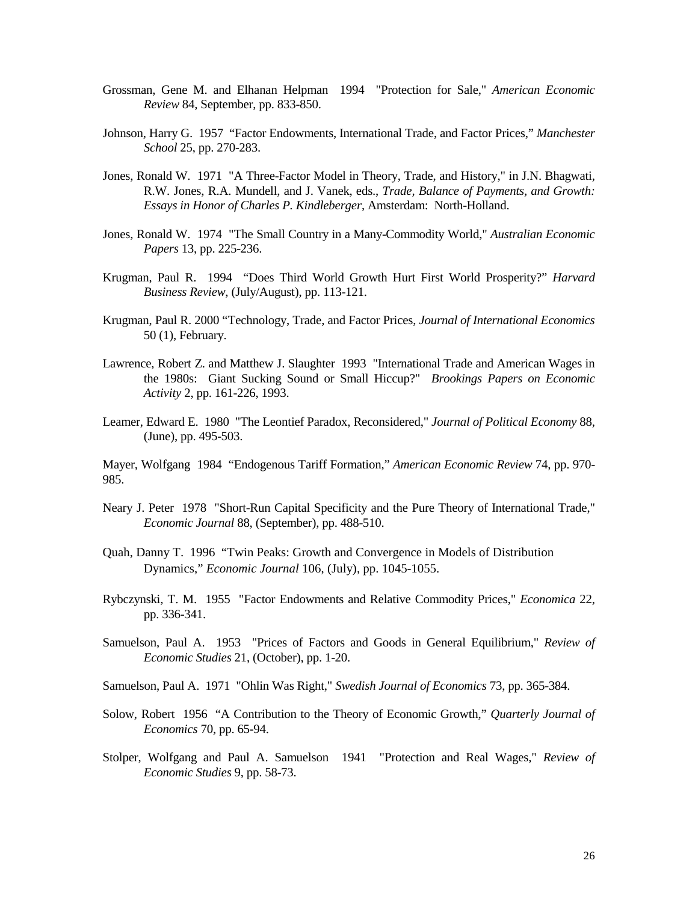- Grossman, Gene M. and Elhanan Helpman 1994 "Protection for Sale," *American Economic Review* 84, September, pp. 833-850.
- Johnson, Harry G. 1957 "Factor Endowments, International Trade, and Factor Prices," *Manchester School* 25, pp. 270-283.
- Jones, Ronald W. 1971 "A Three-Factor Model in Theory, Trade, and History," in J.N. Bhagwati, R.W. Jones, R.A. Mundell, and J. Vanek, eds., *Trade, Balance of Payments, and Growth: Essays in Honor of Charles P. Kindleberger*, Amsterdam: North-Holland.
- Jones, Ronald W. 1974 "The Small Country in a Many-Commodity World," *Australian Economic Papers* 13, pp. 225-236.
- Krugman, Paul R. 1994 "Does Third World Growth Hurt First World Prosperity?" *Harvard Business Review*, (July/August), pp. 113-121.
- Krugman, Paul R. 2000 "Technology, Trade, and Factor Prices, *Journal of International Economics* 50 (1), February.
- Lawrence, Robert Z. and Matthew J. Slaughter 1993 "International Trade and American Wages in the 1980s: Giant Sucking Sound or Small Hiccup?" *Brookings Papers on Economic Activity* 2, pp. 161-226, 1993.
- Leamer, Edward E. 1980 "The Leontief Paradox, Reconsidered," *Journal of Political Economy* 88, (June), pp. 495-503.

Mayer, Wolfgang 1984 "Endogenous Tariff Formation," *American Economic Review* 74, pp. 970- 985.

- Neary J. Peter 1978 "Short-Run Capital Specificity and the Pure Theory of International Trade," *Economic Journal* 88, (September), pp. 488-510.
- Quah, Danny T. 1996 "Twin Peaks: Growth and Convergence in Models of Distribution Dynamics," *Economic Journal* 106, (July), pp. 1045-1055.
- Rybczynski, T. M. 1955 "Factor Endowments and Relative Commodity Prices," *Economica* 22, pp. 336-341.
- Samuelson, Paul A. 1953 "Prices of Factors and Goods in General Equilibrium," *Review of Economic Studies* 21, (October), pp. 1-20.
- Samuelson, Paul A. 1971 "Ohlin Was Right," *Swedish Journal of Economics* 73, pp. 365-384.
- Solow, Robert 1956 "A Contribution to the Theory of Economic Growth," *Quarterly Journal of Economics* 70, pp. 65-94.
- Stolper, Wolfgang and Paul A. Samuelson 1941 "Protection and Real Wages," *Review of Economic Studies* 9, pp. 58-73.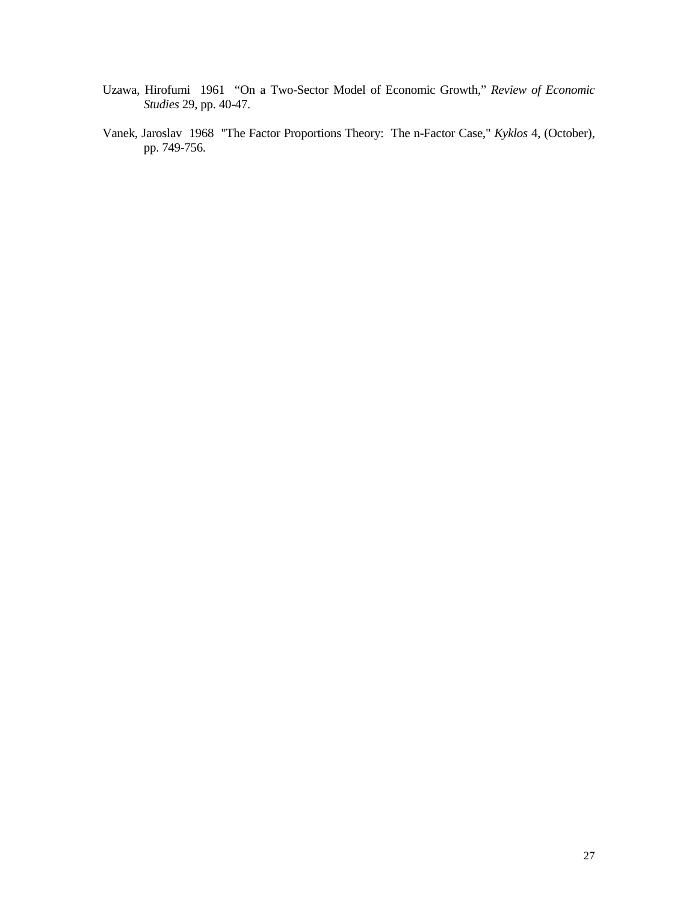- Uzawa, Hirofumi 1961 "On a Two-Sector Model of Economic Growth," *Review of Economic Studies* 29, pp. 40-47.
- Vanek, Jaroslav 1968 "The Factor Proportions Theory: The n-Factor Case," *Kyklos* 4, (October), pp. 749-756.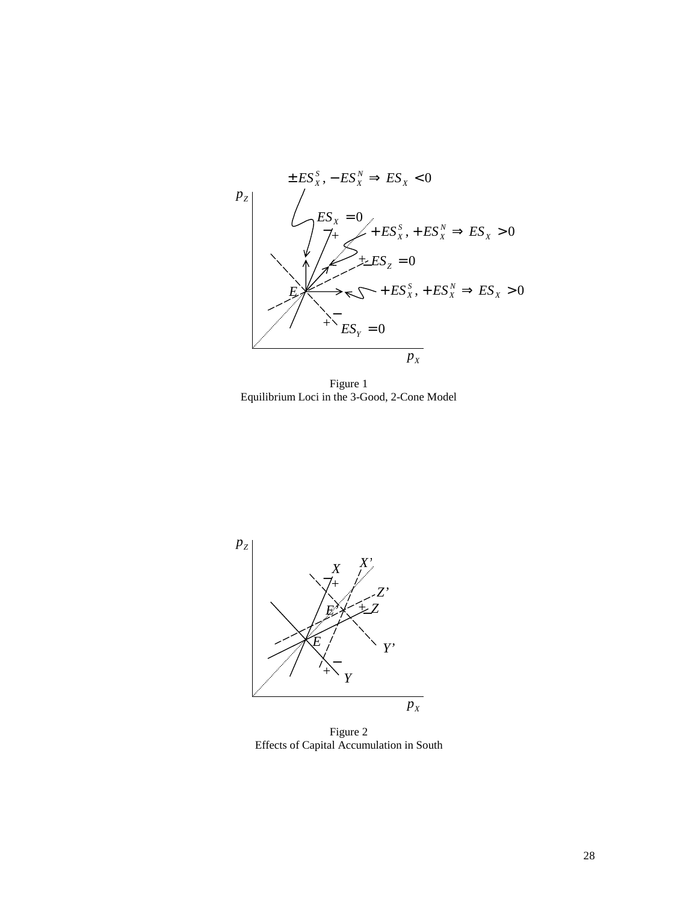

Figure 1 Equilibrium Loci in the 3-Good, 2-Cone Model



Figure 2 Effects of Capital Accumulation in South